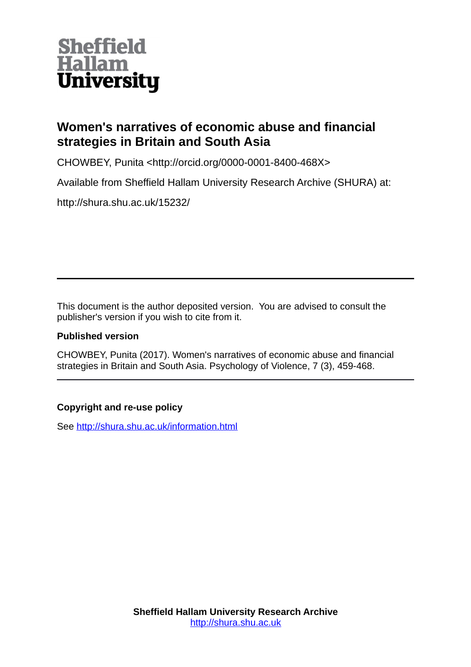

# **Women's narratives of economic abuse and financial strategies in Britain and South Asia**

CHOWBEY, Punita <http://orcid.org/0000-0001-8400-468X>

Available from Sheffield Hallam University Research Archive (SHURA) at:

http://shura.shu.ac.uk/15232/

This document is the author deposited version. You are advised to consult the publisher's version if you wish to cite from it.

# **Published version**

CHOWBEY, Punita (2017). Women's narratives of economic abuse and financial strategies in Britain and South Asia. Psychology of Violence, 7 (3), 459-468.

# **Copyright and re-use policy**

See<http://shura.shu.ac.uk/information.html>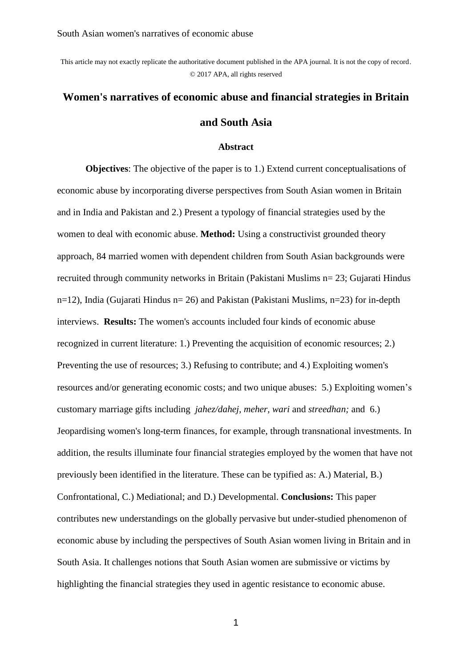This article may not exactly replicate the authoritative document published in the APA journal. It is not the copy of record. © 2017 APA, all rights reserved

# **Women's narratives of economic abuse and financial strategies in Britain and South Asia**

#### **Abstract**

**Objectives**: The objective of the paper is to 1.) Extend current conceptualisations of economic abuse by incorporating diverse perspectives from South Asian women in Britain and in India and Pakistan and 2.) Present a typology of financial strategies used by the women to deal with economic abuse. **Method:** Using a constructivist grounded theory approach, 84 married women with dependent children from South Asian backgrounds were recruited through community networks in Britain (Pakistani Muslims n= 23; Gujarati Hindus n=12), India (Gujarati Hindus n= 26) and Pakistan (Pakistani Muslims, n=23) for in-depth interviews. **Results:** The women's accounts included four kinds of economic abuse recognized in current literature: 1.) Preventing the acquisition of economic resources; 2.) Preventing the use of resources; 3.) Refusing to contribute; and 4.) Exploiting women's resources and/or generating economic costs; and two unique abuses: 5.) Exploiting women's customary marriage gifts including *jahez/dahej, meher, wari* and *streedhan;* and 6.) Jeopardising women's long-term finances, for example, through transnational investments. In addition, the results illuminate four financial strategies employed by the women that have not previously been identified in the literature. These can be typified as: A.) Material, B.) Confrontational, C.) Mediational; and D.) Developmental. **Conclusions:** This paper contributes new understandings on the globally pervasive but under-studied phenomenon of economic abuse by including the perspectives of South Asian women living in Britain and in South Asia. It challenges notions that South Asian women are submissive or victims by highlighting the financial strategies they used in agentic resistance to economic abuse.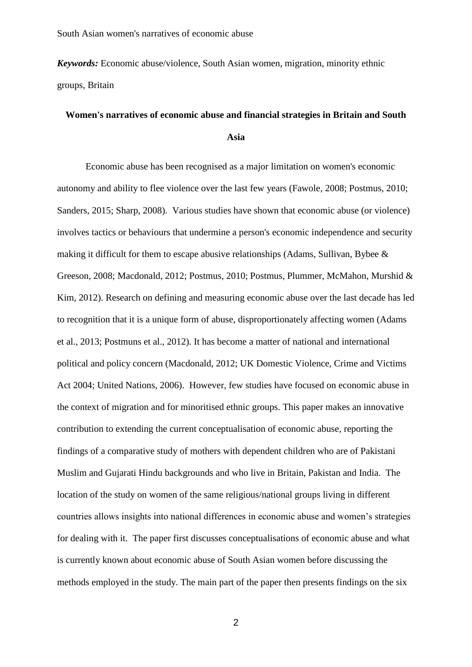*Keywords:* Economic abuse/violence, South Asian women, migration, minority ethnic groups, Britain

# **Women's narratives of economic abuse and financial strategies in Britain and South Asia**

Economic abuse has been recognised as a major limitation on women's economic autonomy and ability to flee violence over the last few years (Fawole, 2008; Postmus, 2010; Sanders, 2015; Sharp, 2008). Various studies have shown that economic abuse (or violence) involves tactics or behaviours that undermine a person's economic independence and security making it difficult for them to escape abusive relationships (Adams, Sullivan, Bybee  $\&$ Greeson, 2008; Macdonald, 2012; Postmus, 2010; Postmus, Plummer, McMahon, Murshid & Kim, 2012). Research on defining and measuring economic abuse over the last decade has led to recognition that it is a unique form of abuse, disproportionately affecting women (Adams et al., 2013; Postmuns et al., 2012). It has become a matter of national and international political and policy concern (Macdonald, 2012; UK Domestic Violence, Crime and Victims Act 2004; United Nations, 2006). However, few studies have focused on economic abuse in the context of migration and for minoritised ethnic groups. This paper makes an innovative contribution to extending the current conceptualisation of economic abuse, reporting the findings of a comparative study of mothers with dependent children who are of Pakistani Muslim and Gujarati Hindu backgrounds and who live in Britain, Pakistan and India. The location of the study on women of the same religious/national groups living in different countries allows insights into national differences in economic abuse and women's strategies for dealing with it. The paper first discusses conceptualisations of economic abuse and what is currently known about economic abuse of South Asian women before discussing the methods employed in the study. The main part of the paper then presents findings on the six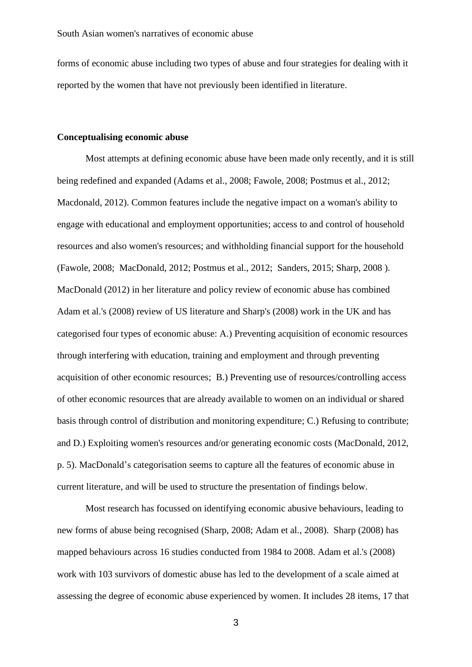forms of economic abuse including two types of abuse and four strategies for dealing with it reported by the women that have not previously been identified in literature.

## **Conceptualising economic abuse**

Most attempts at defining economic abuse have been made only recently, and it is still being redefined and expanded (Adams et al., 2008; Fawole, 2008; Postmus et al., 2012; Macdonald, 2012). Common features include the negative impact on a woman's ability to engage with educational and employment opportunities; access to and control of household resources and also women's resources; and withholding financial support for the household (Fawole, 2008; MacDonald, 2012; Postmus et al., 2012; Sanders, 2015; Sharp, 2008 ). MacDonald (2012) in her literature and policy review of economic abuse has combined Adam et al.'s (2008) review of US literature and Sharp's (2008) work in the UK and has categorised four types of economic abuse: A.) Preventing acquisition of economic resources through interfering with education, training and employment and through preventing acquisition of other economic resources; B.) Preventing use of resources/controlling access of other economic resources that are already available to women on an individual or shared basis through control of distribution and monitoring expenditure; C.) Refusing to contribute; and D.) Exploiting women's resources and/or generating economic costs (MacDonald, 2012, p. 5). MacDonald's categorisation seems to capture all the features of economic abuse in current literature, and will be used to structure the presentation of findings below.

Most research has focussed on identifying economic abusive behaviours, leading to new forms of abuse being recognised (Sharp, 2008; Adam et al., 2008). Sharp (2008) has mapped behaviours across 16 studies conducted from 1984 to 2008. Adam et al.'s (2008) work with 103 survivors of domestic abuse has led to the development of a scale aimed at assessing the degree of economic abuse experienced by women. It includes 28 items, 17 that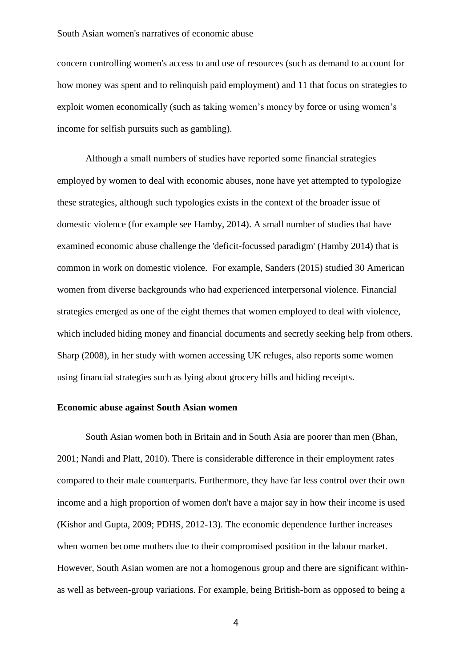## South Asian women's narratives of economic abuse

concern controlling women's access to and use of resources (such as demand to account for how money was spent and to relinquish paid employment) and 11 that focus on strategies to exploit women economically (such as taking women's money by force or using women's income for selfish pursuits such as gambling).

Although a small numbers of studies have reported some financial strategies employed by women to deal with economic abuses, none have yet attempted to typologize these strategies, although such typologies exists in the context of the broader issue of domestic violence (for example see Hamby, 2014). A small number of studies that have examined economic abuse challenge the 'deficit-focussed paradigm' (Hamby 2014) that is common in work on domestic violence. For example, Sanders (2015) studied 30 American women from diverse backgrounds who had experienced interpersonal violence. Financial strategies emerged as one of the eight themes that women employed to deal with violence, which included hiding money and financial documents and secretly seeking help from others. Sharp (2008), in her study with women accessing UK refuges, also reports some women using financial strategies such as lying about grocery bills and hiding receipts.

## **Economic abuse against South Asian women**

South Asian women both in Britain and in South Asia are poorer than men (Bhan, 2001; Nandi and Platt, 2010). There is considerable difference in their employment rates compared to their male counterparts. Furthermore, they have far less control over their own income and a high proportion of women don't have a major say in how their income is used (Kishor and Gupta, 2009; PDHS, 2012-13). The economic dependence further increases when women become mothers due to their compromised position in the labour market. However, South Asian women are not a homogenous group and there are significant withinas well as between-group variations. For example, being British-born as opposed to being a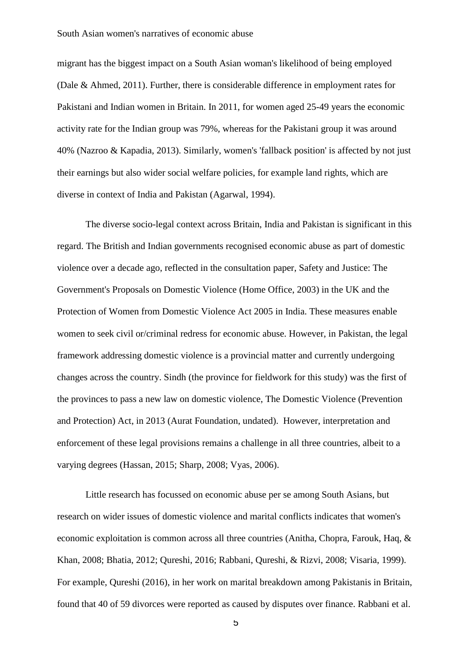migrant has the biggest impact on a South Asian woman's likelihood of being employed (Dale & Ahmed, 2011). Further, there is considerable difference in employment rates for Pakistani and Indian women in Britain. In 2011, for women aged 25-49 years the economic activity rate for the Indian group was 79%, whereas for the Pakistani group it was around 40% (Nazroo & Kapadia, 2013). Similarly, women's 'fallback position' is affected by not just their earnings but also wider social welfare policies, for example land rights, which are diverse in context of India and Pakistan (Agarwal, 1994).

The diverse socio-legal context across Britain, India and Pakistan is significant in this regard. The British and Indian governments recognised economic abuse as part of domestic violence over a decade ago, reflected in the consultation paper, Safety and Justice: The Government's Proposals on Domestic Violence (Home Office, 2003) in the UK and the Protection of Women from Domestic Violence Act 2005 in India. These measures enable women to seek civil or/criminal redress for economic abuse. However, in Pakistan, the legal framework addressing domestic violence is a provincial matter and currently undergoing changes across the country. Sindh (the province for fieldwork for this study) was the first of the provinces to pass a new law on domestic violence, The Domestic Violence (Prevention and Protection) Act, in 2013 (Aurat Foundation, undated). However, interpretation and enforcement of these legal provisions remains a challenge in all three countries, albeit to a varying degrees (Hassan, 2015; Sharp, 2008; Vyas, 2006).

Little research has focussed on economic abuse per se among South Asians, but research on wider issues of domestic violence and marital conflicts indicates that women's economic exploitation is common across all three countries (Anitha, Chopra, Farouk, Haq, & Khan, 2008; Bhatia, 2012; Qureshi, 2016; Rabbani, Qureshi, & Rizvi, 2008; Visaria, 1999). For example, Qureshi (2016), in her work on marital breakdown among Pakistanis in Britain, found that 40 of 59 divorces were reported as caused by disputes over finance. Rabbani et al.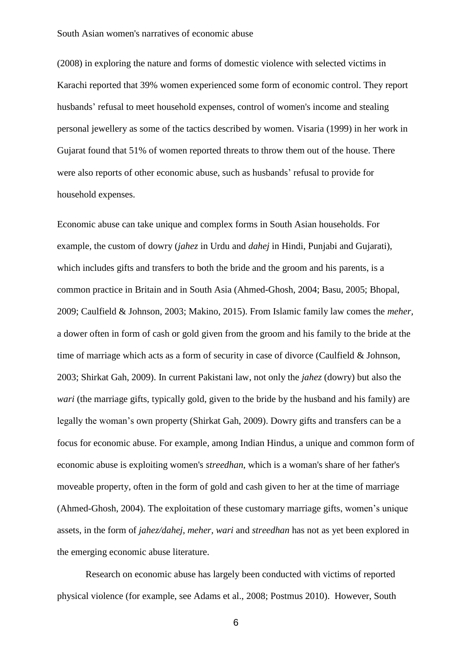(2008) in exploring the nature and forms of domestic violence with selected victims in Karachi reported that 39% women experienced some form of economic control. They report husbands' refusal to meet household expenses, control of women's income and stealing personal jewellery as some of the tactics described by women. Visaria (1999) in her work in Gujarat found that 51% of women reported threats to throw them out of the house. There were also reports of other economic abuse, such as husbands' refusal to provide for household expenses.

Economic abuse can take unique and complex forms in South Asian households. For example, the custom of dowry (*jahez* in Urdu and *dahej* in Hindi, Punjabi and Gujarati), which includes gifts and transfers to both the bride and the groom and his parents, is a common practice in Britain and in South Asia (Ahmed-Ghosh, 2004; Basu, 2005; Bhopal, 2009; Caulfield & Johnson, 2003; Makino, 2015). From Islamic family law comes the *meher,*  a dower often in form of cash or gold given from the groom and his family to the bride at the time of marriage which acts as a form of security in case of divorce (Caulfield & Johnson, 2003; Shirkat Gah, 2009). In current Pakistani law, not only the *jahez* (dowry) but also the *wari* (the marriage gifts, typically gold, given to the bride by the husband and his family) are legally the woman's own property (Shirkat Gah, 2009). Dowry gifts and transfers can be a focus for economic abuse. For example, among Indian Hindus, a unique and common form of economic abuse is exploiting women's *streedhan*, which is a woman's share of her father's moveable property, often in the form of gold and cash given to her at the time of marriage (Ahmed-Ghosh, 2004). The exploitation of these customary marriage gifts, women's unique assets, in the form of *jahez/dahej, meher, wari* and *streedhan* has not as yet been explored in the emerging economic abuse literature.

Research on economic abuse has largely been conducted with victims of reported physical violence (for example, see Adams et al., 2008; Postmus 2010). However, South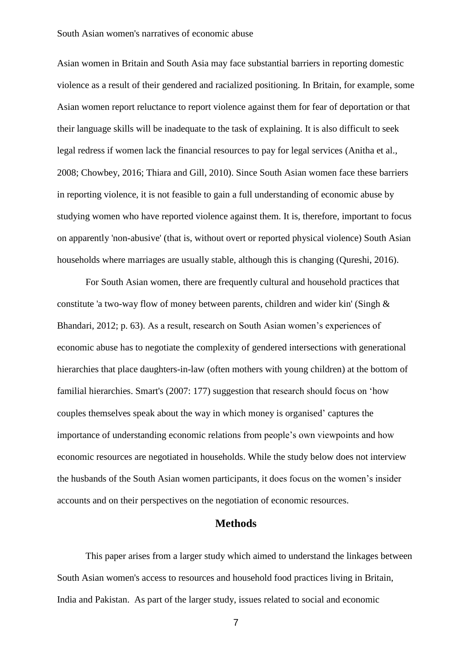Asian women in Britain and South Asia may face substantial barriers in reporting domestic violence as a result of their gendered and racialized positioning. In Britain, for example, some Asian women report reluctance to report violence against them for fear of deportation or that their language skills will be inadequate to the task of explaining. It is also difficult to seek legal redress if women lack the financial resources to pay for legal services (Anitha et al., 2008; Chowbey, 2016; Thiara and Gill, 2010). Since South Asian women face these barriers in reporting violence, it is not feasible to gain a full understanding of economic abuse by studying women who have reported violence against them. It is, therefore, important to focus on apparently 'non-abusive' (that is, without overt or reported physical violence) South Asian households where marriages are usually stable, although this is changing (Qureshi, 2016).

For South Asian women, there are frequently cultural and household practices that constitute 'a two-way flow of money between parents, children and wider kin' (Singh & Bhandari, 2012; p. 63). As a result, research on South Asian women's experiences of economic abuse has to negotiate the complexity of gendered intersections with generational hierarchies that place daughters-in-law (often mothers with young children) at the bottom of familial hierarchies. Smart's (2007: 177) suggestion that research should focus on 'how couples themselves speak about the way in which money is organised' captures the importance of understanding economic relations from people's own viewpoints and how economic resources are negotiated in households. While the study below does not interview the husbands of the South Asian women participants, it does focus on the women's insider accounts and on their perspectives on the negotiation of economic resources.

## **Methods**

This paper arises from a larger study which aimed to understand the linkages between South Asian women's access to resources and household food practices living in Britain, India and Pakistan. As part of the larger study, issues related to social and economic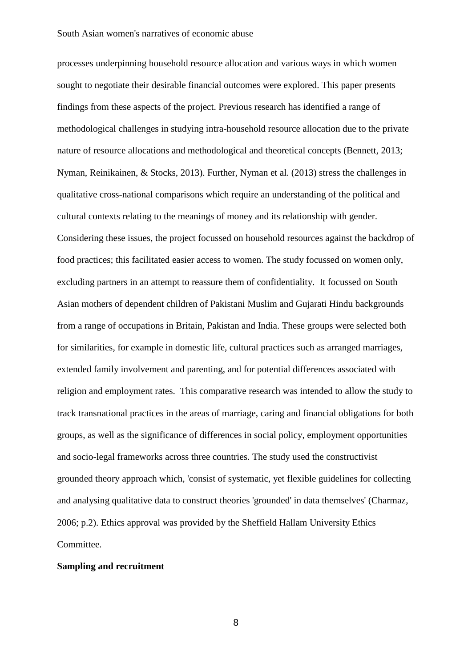processes underpinning household resource allocation and various ways in which women sought to negotiate their desirable financial outcomes were explored. This paper presents findings from these aspects of the project. Previous research has identified a range of methodological challenges in studying intra-household resource allocation due to the private nature of resource allocations and methodological and theoretical concepts (Bennett, 2013; Nyman, Reinikainen, & Stocks, 2013). Further, Nyman et al. (2013) stress the challenges in qualitative cross-national comparisons which require an understanding of the political and cultural contexts relating to the meanings of money and its relationship with gender. Considering these issues, the project focussed on household resources against the backdrop of food practices; this facilitated easier access to women. The study focussed on women only, excluding partners in an attempt to reassure them of confidentiality. It focussed on South Asian mothers of dependent children of Pakistani Muslim and Gujarati Hindu backgrounds from a range of occupations in Britain, Pakistan and India. These groups were selected both for similarities, for example in domestic life, cultural practices such as arranged marriages, extended family involvement and parenting, and for potential differences associated with religion and employment rates. This comparative research was intended to allow the study to track transnational practices in the areas of marriage, caring and financial obligations for both groups, as well as the significance of differences in social policy, employment opportunities and socio-legal frameworks across three countries. The study used the constructivist grounded theory approach which, 'consist of systematic, yet flexible guidelines for collecting and analysing qualitative data to construct theories 'grounded' in data themselves' (Charmaz, 2006; p.2). Ethics approval was provided by the Sheffield Hallam University Ethics Committee.

## **Sampling and recruitment**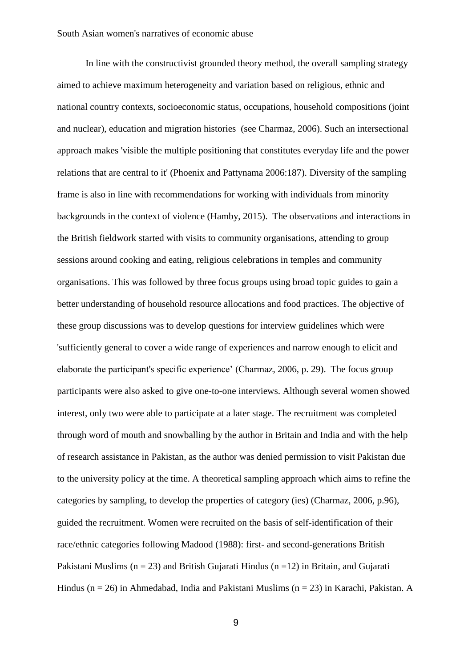In line with the constructivist grounded theory method, the overall sampling strategy aimed to achieve maximum heterogeneity and variation based on religious, ethnic and national country contexts, socioeconomic status, occupations, household compositions (joint and nuclear), education and migration histories (see Charmaz, 2006). Such an intersectional approach makes 'visible the multiple positioning that constitutes everyday life and the power relations that are central to it' (Phoenix and Pattynama 2006:187). Diversity of the sampling frame is also in line with recommendations for working with individuals from minority backgrounds in the context of violence (Hamby, 2015). The observations and interactions in the British fieldwork started with visits to community organisations, attending to group sessions around cooking and eating, religious celebrations in temples and community organisations. This was followed by three focus groups using broad topic guides to gain a better understanding of household resource allocations and food practices. The objective of these group discussions was to develop questions for interview guidelines which were 'sufficiently general to cover a wide range of experiences and narrow enough to elicit and elaborate the participant's specific experience' (Charmaz, 2006, p. 29). The focus group participants were also asked to give one-to-one interviews. Although several women showed interest, only two were able to participate at a later stage. The recruitment was completed through word of mouth and snowballing by the author in Britain and India and with the help of research assistance in Pakistan, as the author was denied permission to visit Pakistan due to the university policy at the time. A theoretical sampling approach which aims to refine the categories by sampling, to develop the properties of category (ies) (Charmaz, 2006, p.96), guided the recruitment. Women were recruited on the basis of self-identification of their race/ethnic categories following Madood (1988): first- and second-generations British Pakistani Muslims ( $n = 23$ ) and British Gujarati Hindus ( $n = 12$ ) in Britain, and Gujarati Hindus ( $n = 26$ ) in Ahmedabad, India and Pakistani Muslims ( $n = 23$ ) in Karachi, Pakistan. A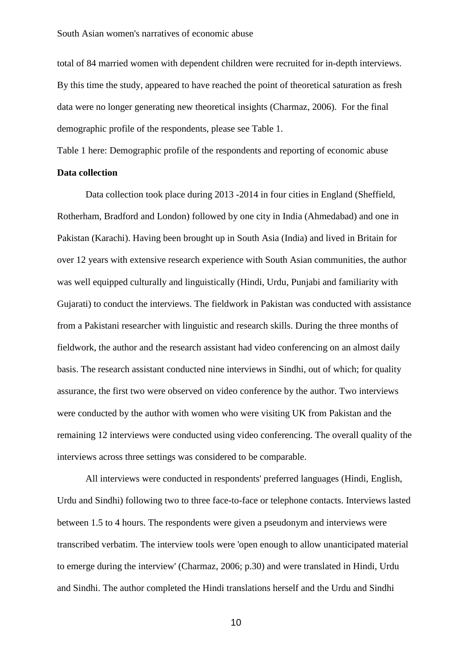total of 84 married women with dependent children were recruited for in-depth interviews. By this time the study, appeared to have reached the point of theoretical saturation as fresh data were no longer generating new theoretical insights (Charmaz, 2006). For the final demographic profile of the respondents, please see Table 1.

Table 1 here: Demographic profile of the respondents and reporting of economic abuse

# **Data collection**

Data collection took place during 2013 -2014 in four cities in England (Sheffield, Rotherham, Bradford and London) followed by one city in India (Ahmedabad) and one in Pakistan (Karachi). Having been brought up in South Asia (India) and lived in Britain for over 12 years with extensive research experience with South Asian communities, the author was well equipped culturally and linguistically (Hindi, Urdu, Punjabi and familiarity with Gujarati) to conduct the interviews. The fieldwork in Pakistan was conducted with assistance from a Pakistani researcher with linguistic and research skills. During the three months of fieldwork, the author and the research assistant had video conferencing on an almost daily basis. The research assistant conducted nine interviews in Sindhi, out of which; for quality assurance, the first two were observed on video conference by the author. Two interviews were conducted by the author with women who were visiting UK from Pakistan and the remaining 12 interviews were conducted using video conferencing. The overall quality of the interviews across three settings was considered to be comparable.

All interviews were conducted in respondents' preferred languages (Hindi, English, Urdu and Sindhi) following two to three face-to-face or telephone contacts. Interviews lasted between 1.5 to 4 hours. The respondents were given a pseudonym and interviews were transcribed verbatim. The interview tools were 'open enough to allow unanticipated material to emerge during the interview' (Charmaz, 2006; p.30) and were translated in Hindi, Urdu and Sindhi. The author completed the Hindi translations herself and the Urdu and Sindhi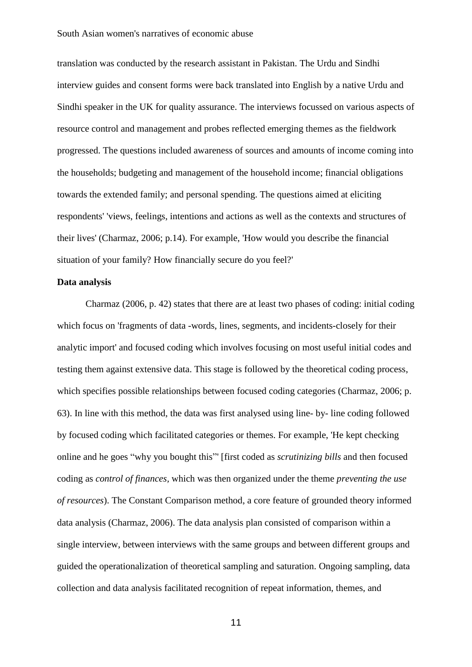translation was conducted by the research assistant in Pakistan. The Urdu and Sindhi interview guides and consent forms were back translated into English by a native Urdu and Sindhi speaker in the UK for quality assurance. The interviews focussed on various aspects of resource control and management and probes reflected emerging themes as the fieldwork progressed. The questions included awareness of sources and amounts of income coming into the households; budgeting and management of the household income; financial obligations towards the extended family; and personal spending. The questions aimed at eliciting respondents' 'views, feelings, intentions and actions as well as the contexts and structures of their lives' (Charmaz, 2006; p.14). For example, 'How would you describe the financial situation of your family? How financially secure do you feel?'

#### **Data analysis**

Charmaz (2006, p. 42) states that there are at least two phases of coding: initial coding which focus on 'fragments of data -words, lines, segments, and incidents-closely for their analytic import' and focused coding which involves focusing on most useful initial codes and testing them against extensive data. This stage is followed by the theoretical coding process, which specifies possible relationships between focused coding categories (Charmaz, 2006; p. 63). In line with this method, the data was first analysed using line- by- line coding followed by focused coding which facilitated categories or themes. For example, 'He kept checking online and he goes "why you bought this"' [first coded as *scrutinizing bills* and then focused coding as *control of finances,* which was then organized under the theme *preventing the use of resources*). The Constant Comparison method, a core feature of grounded theory informed data analysis (Charmaz, 2006). The data analysis plan consisted of comparison within a single interview, between interviews with the same groups and between different groups and guided the operationalization of theoretical sampling and saturation. Ongoing sampling, data collection and data analysis facilitated recognition of repeat information, themes, and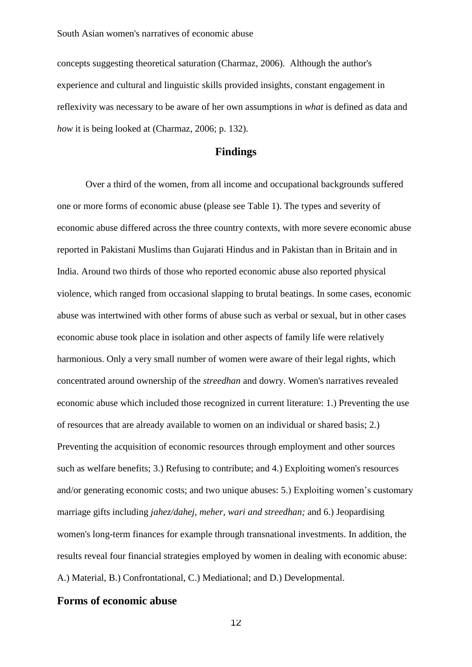concepts suggesting theoretical saturation (Charmaz, 2006). Although the author's experience and cultural and linguistic skills provided insights, constant engagement in reflexivity was necessary to be aware of her own assumptions in *what* is defined as data and *how* it is being looked at (Charmaz, 2006; p. 132).

## **Findings**

Over a third of the women, from all income and occupational backgrounds suffered one or more forms of economic abuse (please see Table 1). The types and severity of economic abuse differed across the three country contexts, with more severe economic abuse reported in Pakistani Muslims than Gujarati Hindus and in Pakistan than in Britain and in India. Around two thirds of those who reported economic abuse also reported physical violence, which ranged from occasional slapping to brutal beatings. In some cases, economic abuse was intertwined with other forms of abuse such as verbal or sexual, but in other cases economic abuse took place in isolation and other aspects of family life were relatively harmonious. Only a very small number of women were aware of their legal rights, which concentrated around ownership of the *streedhan* and dowry. Women's narratives revealed economic abuse which included those recognized in current literature: 1.) Preventing the use of resources that are already available to women on an individual or shared basis; 2.) Preventing the acquisition of economic resources through employment and other sources such as welfare benefits; 3.) Refusing to contribute; and 4.) Exploiting women's resources and/or generating economic costs; and two unique abuses: 5.) Exploiting women's customary marriage gifts including *jahez/dahej, meher, wari and streedhan;* and 6.) Jeopardising women's long-term finances for example through transnational investments. In addition, the results reveal four financial strategies employed by women in dealing with economic abuse: A.) Material, B.) Confrontational, C.) Mediational; and D.) Developmental.

## **Forms of economic abuse**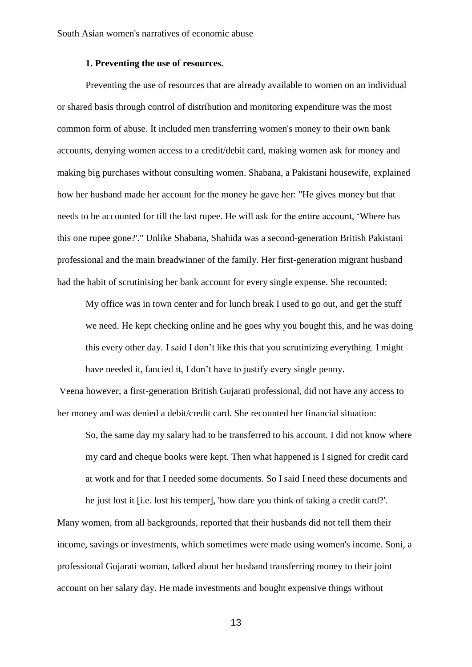## **1. Preventing the use of resources.**

Preventing the use of resources that are already available to women on an individual or shared basis through control of distribution and monitoring expenditure was the most common form of abuse. It included men transferring women's money to their own bank accounts, denying women access to a credit/debit card, making women ask for money and making big purchases without consulting women. Shabana, a Pakistani housewife, explained how her husband made her account for the money he gave her: "He gives money but that needs to be accounted for till the last rupee. He will ask for the entire account, 'Where has this one rupee gone?'." Unlike Shabana, Shahida was a second-generation British Pakistani professional and the main breadwinner of the family. Her first-generation migrant husband had the habit of scrutinising her bank account for every single expense. She recounted:

My office was in town center and for lunch break I used to go out, and get the stuff we need. He kept checking online and he goes why you bought this, and he was doing this every other day. I said I don't like this that you scrutinizing everything. I might have needed it, fancied it, I don't have to justify every single penny.

Veena however, a first-generation British Gujarati professional, did not have any access to her money and was denied a debit/credit card. She recounted her financial situation:

So, the same day my salary had to be transferred to his account. I did not know where my card and cheque books were kept. Then what happened is I signed for credit card at work and for that I needed some documents. So I said I need these documents and

he just lost it [i.e. lost his temper], 'how dare you think of taking a credit card?'. Many women, from all backgrounds, reported that their husbands did not tell them their income, savings or investments, which sometimes were made using women's income. Soni, a professional Gujarati woman, talked about her husband transferring money to their joint account on her salary day. He made investments and bought expensive things without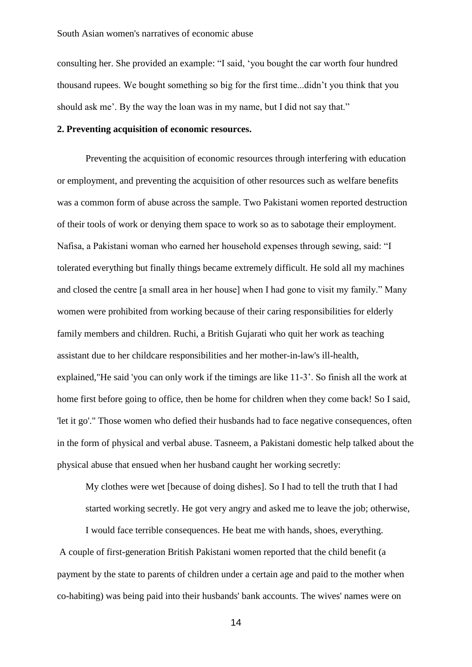consulting her. She provided an example: "I said, 'you bought the car worth four hundred thousand rupees. We bought something so big for the first time...didn't you think that you should ask me'. By the way the loan was in my name, but I did not say that."

## **2. Preventing acquisition of economic resources.**

Preventing the acquisition of economic resources through interfering with education or employment, and preventing the acquisition of other resources such as welfare benefits was a common form of abuse across the sample. Two Pakistani women reported destruction of their tools of work or denying them space to work so as to sabotage their employment. Nafisa, a Pakistani woman who earned her household expenses through sewing, said: "I tolerated everything but finally things became extremely difficult. He sold all my machines and closed the centre [a small area in her house] when I had gone to visit my family." Many women were prohibited from working because of their caring responsibilities for elderly family members and children. Ruchi, a British Gujarati who quit her work as teaching assistant due to her childcare responsibilities and her mother-in-law's ill-health, explained,"He said 'you can only work if the timings are like 11-3'. So finish all the work at home first before going to office, then be home for children when they come back! So I said, 'let it go'." Those women who defied their husbands had to face negative consequences, often in the form of physical and verbal abuse. Tasneem, a Pakistani domestic help talked about the physical abuse that ensued when her husband caught her working secretly:

My clothes were wet [because of doing dishes]. So I had to tell the truth that I had started working secretly. He got very angry and asked me to leave the job; otherwise,

I would face terrible consequences. He beat me with hands, shoes, everything. A couple of first-generation British Pakistani women reported that the child benefit (a payment by the state to parents of children under a certain age and paid to the mother when co-habiting) was being paid into their husbands' bank accounts. The wives' names were on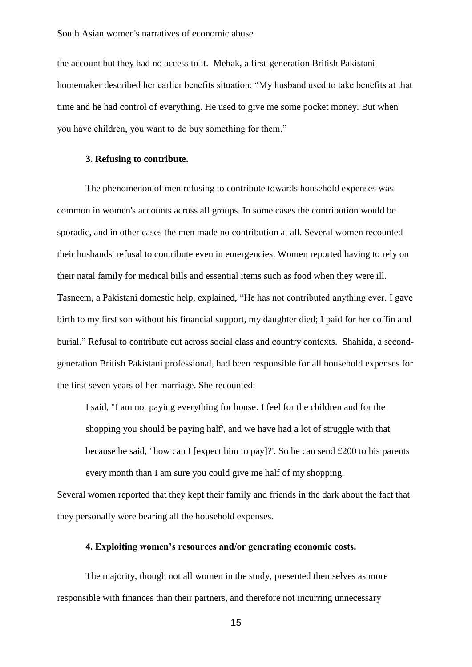the account but they had no access to it. Mehak, a first-generation British Pakistani homemaker described her earlier benefits situation: "My husband used to take benefits at that time and he had control of everything. He used to give me some pocket money. But when you have children, you want to do buy something for them."

## **3. Refusing to contribute.**

The phenomenon of men refusing to contribute towards household expenses was common in women's accounts across all groups. In some cases the contribution would be sporadic, and in other cases the men made no contribution at all. Several women recounted their husbands' refusal to contribute even in emergencies. Women reported having to rely on their natal family for medical bills and essential items such as food when they were ill. Tasneem, a Pakistani domestic help, explained, "He has not contributed anything ever. I gave birth to my first son without his financial support, my daughter died; I paid for her coffin and burial." Refusal to contribute cut across social class and country contexts. Shahida, a secondgeneration British Pakistani professional, had been responsible for all household expenses for the first seven years of her marriage. She recounted:

I said, "I am not paying everything for house. I feel for the children and for the shopping you should be paying half', and we have had a lot of struggle with that because he said, ' how can I [expect him to pay]?'. So he can send £200 to his parents every month than I am sure you could give me half of my shopping.

Several women reported that they kept their family and friends in the dark about the fact that they personally were bearing all the household expenses.

## **4. Exploiting women's resources and/or generating economic costs.**

The majority, though not all women in the study, presented themselves as more responsible with finances than their partners, and therefore not incurring unnecessary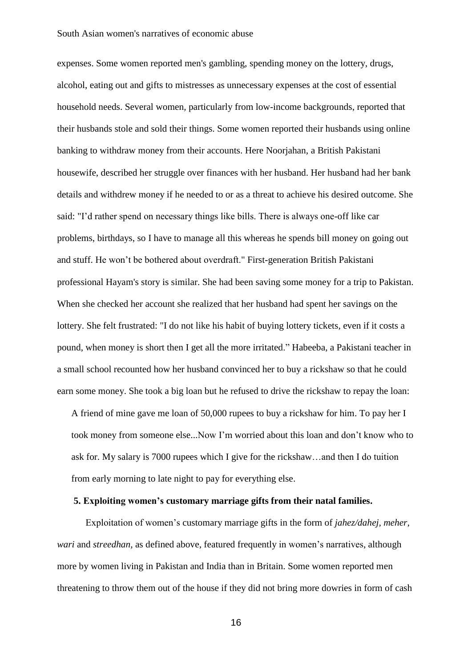#### South Asian women's narratives of economic abuse

expenses. Some women reported men's gambling, spending money on the lottery, drugs, alcohol, eating out and gifts to mistresses as unnecessary expenses at the cost of essential household needs. Several women, particularly from low-income backgrounds, reported that their husbands stole and sold their things. Some women reported their husbands using online banking to withdraw money from their accounts. Here Noorjahan, a British Pakistani housewife, described her struggle over finances with her husband. Her husband had her bank details and withdrew money if he needed to or as a threat to achieve his desired outcome. She said: "I'd rather spend on necessary things like bills. There is always one-off like car problems, birthdays, so I have to manage all this whereas he spends bill money on going out and stuff. He won't be bothered about overdraft." First-generation British Pakistani professional Hayam's story is similar. She had been saving some money for a trip to Pakistan. When she checked her account she realized that her husband had spent her savings on the lottery. She felt frustrated: "I do not like his habit of buying lottery tickets, even if it costs a pound, when money is short then I get all the more irritated." Habeeba, a Pakistani teacher in a small school recounted how her husband convinced her to buy a rickshaw so that he could earn some money. She took a big loan but he refused to drive the rickshaw to repay the loan:

A friend of mine gave me loan of 50,000 rupees to buy a rickshaw for him. To pay her I took money from someone else...Now I'm worried about this loan and don't know who to ask for. My salary is 7000 rupees which I give for the rickshaw…and then I do tuition from early morning to late night to pay for everything else.

## **5. Exploiting women's customary marriage gifts from their natal families.**

Exploitation of women's customary marriage gifts in the form of *jahez/dahej, meher, wari* and *streedhan*, as defined above, featured frequently in women's narratives, although more by women living in Pakistan and India than in Britain. Some women reported men threatening to throw them out of the house if they did not bring more dowries in form of cash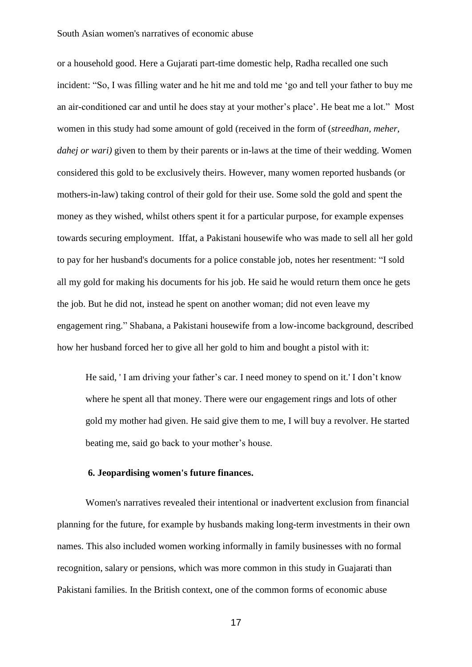#### South Asian women's narratives of economic abuse

or a household good. Here a Gujarati part-time domestic help, Radha recalled one such incident: "So, I was filling water and he hit me and told me 'go and tell your father to buy me an air-conditioned car and until he does stay at your mother's place'. He beat me a lot." Most women in this study had some amount of gold (received in the form of (*streedhan, meher, dahej or wari)* given to them by their parents or in-laws at the time of their wedding. Women considered this gold to be exclusively theirs. However, many women reported husbands (or mothers-in-law) taking control of their gold for their use. Some sold the gold and spent the money as they wished, whilst others spent it for a particular purpose, for example expenses towards securing employment. Iffat, a Pakistani housewife who was made to sell all her gold to pay for her husband's documents for a police constable job, notes her resentment: "I sold all my gold for making his documents for his job. He said he would return them once he gets the job. But he did not, instead he spent on another woman; did not even leave my engagement ring." Shabana, a Pakistani housewife from a low-income background, described how her husband forced her to give all her gold to him and bought a pistol with it:

He said, ' I am driving your father's car. I need money to spend on it.' I don't know where he spent all that money. There were our engagement rings and lots of other gold my mother had given. He said give them to me, I will buy a revolver. He started beating me, said go back to your mother's house.

## **6. Jeopardising women's future finances.**

Women's narratives revealed their intentional or inadvertent exclusion from financial planning for the future, for example by husbands making long-term investments in their own names. This also included women working informally in family businesses with no formal recognition, salary or pensions, which was more common in this study in Guajarati than Pakistani families. In the British context, one of the common forms of economic abuse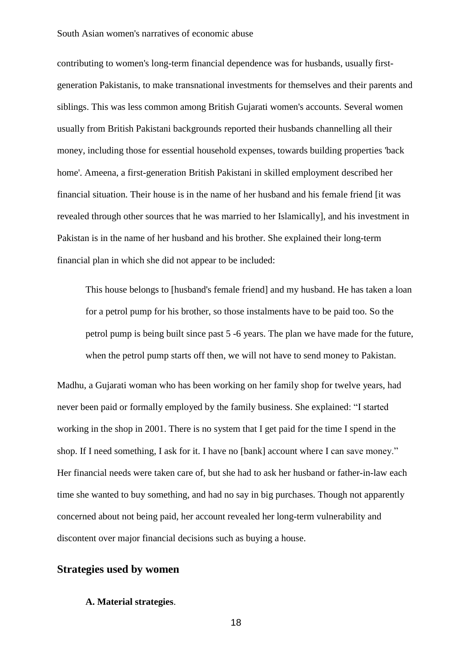contributing to women's long-term financial dependence was for husbands, usually firstgeneration Pakistanis, to make transnational investments for themselves and their parents and siblings. This was less common among British Gujarati women's accounts. Several women usually from British Pakistani backgrounds reported their husbands channelling all their money, including those for essential household expenses, towards building properties 'back home'. Ameena, a first-generation British Pakistani in skilled employment described her financial situation. Their house is in the name of her husband and his female friend [it was revealed through other sources that he was married to her Islamically], and his investment in Pakistan is in the name of her husband and his brother. She explained their long-term financial plan in which she did not appear to be included:

This house belongs to [husband's female friend] and my husband. He has taken a loan for a petrol pump for his brother, so those instalments have to be paid too. So the petrol pump is being built since past 5 -6 years. The plan we have made for the future, when the petrol pump starts off then, we will not have to send money to Pakistan.

Madhu, a Gujarati woman who has been working on her family shop for twelve years, had never been paid or formally employed by the family business. She explained: "I started working in the shop in 2001. There is no system that I get paid for the time I spend in the shop. If I need something, I ask for it. I have no [bank] account where I can save money." Her financial needs were taken care of, but she had to ask her husband or father-in-law each time she wanted to buy something, and had no say in big purchases. Though not apparently concerned about not being paid, her account revealed her long-term vulnerability and discontent over major financial decisions such as buying a house.

## **Strategies used by women**

#### **A. Material strategies**.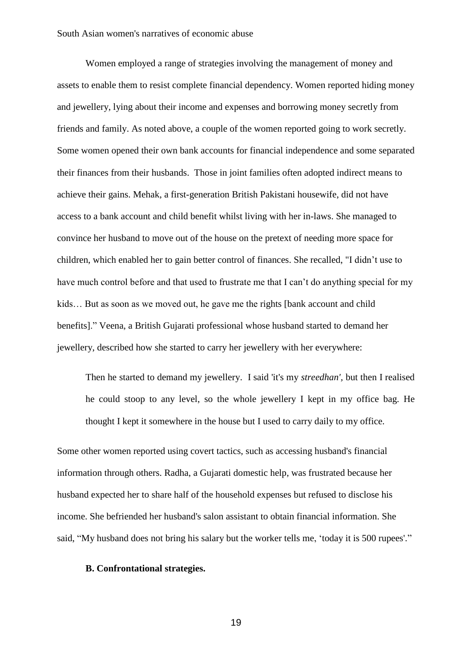Women employed a range of strategies involving the management of money and assets to enable them to resist complete financial dependency. Women reported hiding money and jewellery, lying about their income and expenses and borrowing money secretly from friends and family. As noted above, a couple of the women reported going to work secretly. Some women opened their own bank accounts for financial independence and some separated their finances from their husbands. Those in joint families often adopted indirect means to achieve their gains. Mehak, a first-generation British Pakistani housewife, did not have access to a bank account and child benefit whilst living with her in-laws. She managed to convince her husband to move out of the house on the pretext of needing more space for children, which enabled her to gain better control of finances. She recalled, "I didn't use to have much control before and that used to frustrate me that I can't do anything special for my kids… But as soon as we moved out, he gave me the rights [bank account and child benefits]." Veena, a British Gujarati professional whose husband started to demand her jewellery, described how she started to carry her jewellery with her everywhere:

Then he started to demand my jewellery. I said 'it's my *streedhan',* but then I realised he could stoop to any level, so the whole jewellery I kept in my office bag. He thought I kept it somewhere in the house but I used to carry daily to my office.

Some other women reported using covert tactics, such as accessing husband's financial information through others. Radha, a Gujarati domestic help, was frustrated because her husband expected her to share half of the household expenses but refused to disclose his income. She befriended her husband's salon assistant to obtain financial information. She said, "My husband does not bring his salary but the worker tells me, 'today it is 500 rupees'."

## **B. Confrontational strategies.**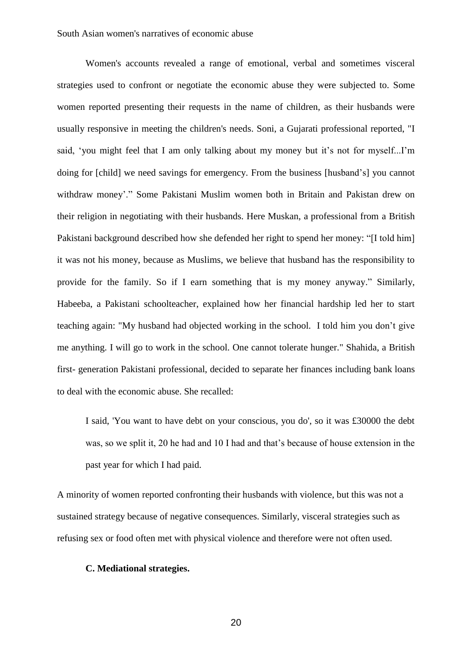Women's accounts revealed a range of emotional, verbal and sometimes visceral strategies used to confront or negotiate the economic abuse they were subjected to. Some women reported presenting their requests in the name of children, as their husbands were usually responsive in meeting the children's needs. Soni, a Gujarati professional reported, "I said, 'you might feel that I am only talking about my money but it's not for myself...I'm doing for [child] we need savings for emergency. From the business [husband's] you cannot withdraw money'." Some Pakistani Muslim women both in Britain and Pakistan drew on their religion in negotiating with their husbands. Here Muskan, a professional from a British Pakistani background described how she defended her right to spend her money: "[I told him] it was not his money, because as Muslims, we believe that husband has the responsibility to provide for the family. So if I earn something that is my money anyway." Similarly, Habeeba, a Pakistani schoolteacher, explained how her financial hardship led her to start teaching again: "My husband had objected working in the school. I told him you don't give me anything. I will go to work in the school. One cannot tolerate hunger." Shahida, a British first- generation Pakistani professional, decided to separate her finances including bank loans to deal with the economic abuse. She recalled:

I said, 'You want to have debt on your conscious, you do', so it was £30000 the debt was, so we split it, 20 he had and 10 I had and that's because of house extension in the past year for which I had paid.

A minority of women reported confronting their husbands with violence, but this was not a sustained strategy because of negative consequences. Similarly, visceral strategies such as refusing sex or food often met with physical violence and therefore were not often used.

## **C. Mediational strategies.**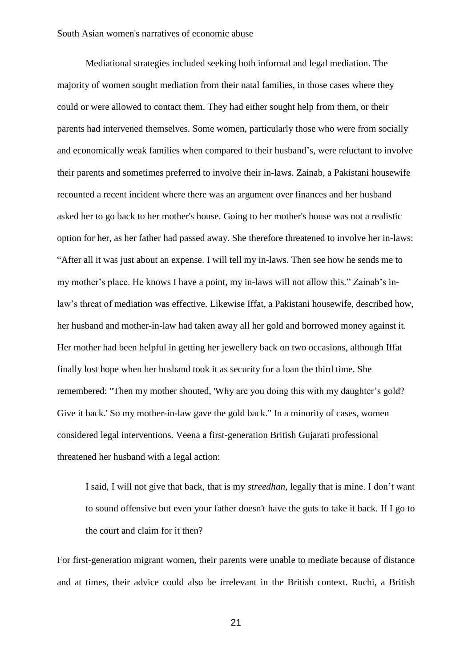Mediational strategies included seeking both informal and legal mediation. The majority of women sought mediation from their natal families, in those cases where they could or were allowed to contact them. They had either sought help from them, or their parents had intervened themselves. Some women, particularly those who were from socially and economically weak families when compared to their husband's, were reluctant to involve their parents and sometimes preferred to involve their in-laws. Zainab, a Pakistani housewife recounted a recent incident where there was an argument over finances and her husband asked her to go back to her mother's house. Going to her mother's house was not a realistic option for her, as her father had passed away. She therefore threatened to involve her in-laws: "After all it was just about an expense. I will tell my in-laws. Then see how he sends me to my mother's place. He knows I have a point, my in-laws will not allow this." Zainab's inlaw's threat of mediation was effective. Likewise Iffat, a Pakistani housewife, described how, her husband and mother-in-law had taken away all her gold and borrowed money against it. Her mother had been helpful in getting her jewellery back on two occasions, although Iffat finally lost hope when her husband took it as security for a loan the third time. She remembered: "Then my mother shouted, 'Why are you doing this with my daughter's gold? Give it back.' So my mother-in-law gave the gold back." In a minority of cases, women considered legal interventions. Veena a first-generation British Gujarati professional threatened her husband with a legal action:

I said, I will not give that back, that is my *streedhan,* legally that is mine. I don't want to sound offensive but even your father doesn't have the guts to take it back. If I go to the court and claim for it then?

For first-generation migrant women, their parents were unable to mediate because of distance and at times, their advice could also be irrelevant in the British context. Ruchi, a British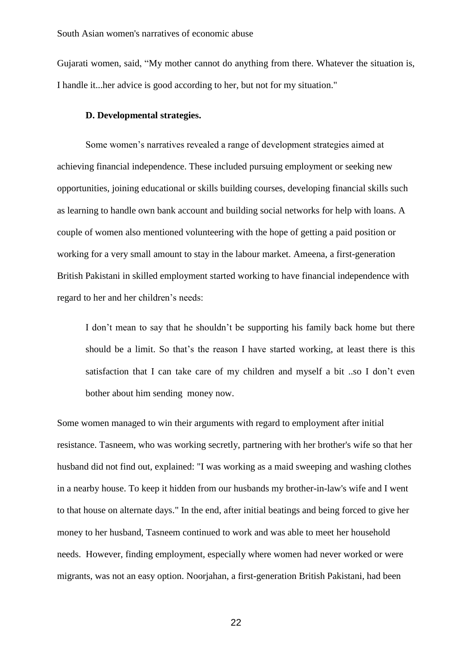Gujarati women, said, "My mother cannot do anything from there. Whatever the situation is, I handle it...her advice is good according to her, but not for my situation."

## **D. Developmental strategies.**

Some women's narratives revealed a range of development strategies aimed at achieving financial independence. These included pursuing employment or seeking new opportunities, joining educational or skills building courses, developing financial skills such as learning to handle own bank account and building social networks for help with loans. A couple of women also mentioned volunteering with the hope of getting a paid position or working for a very small amount to stay in the labour market. Ameena, a first-generation British Pakistani in skilled employment started working to have financial independence with regard to her and her children's needs:

I don't mean to say that he shouldn't be supporting his family back home but there should be a limit. So that's the reason I have started working, at least there is this satisfaction that I can take care of my children and myself a bit ..so I don't even bother about him sending money now.

Some women managed to win their arguments with regard to employment after initial resistance. Tasneem, who was working secretly, partnering with her brother's wife so that her husband did not find out, explained: "I was working as a maid sweeping and washing clothes in a nearby house. To keep it hidden from our husbands my brother-in-law's wife and I went to that house on alternate days." In the end, after initial beatings and being forced to give her money to her husband, Tasneem continued to work and was able to meet her household needs. However, finding employment, especially where women had never worked or were migrants, was not an easy option. Noorjahan, a first-generation British Pakistani, had been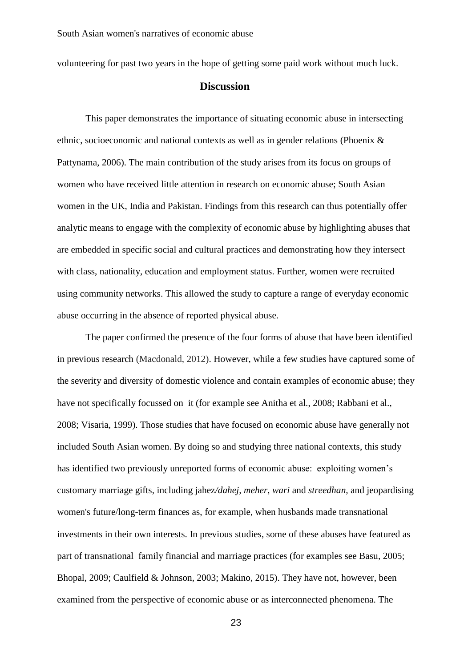volunteering for past two years in the hope of getting some paid work without much luck.

## **Discussion**

This paper demonstrates the importance of situating economic abuse in intersecting ethnic, socioeconomic and national contexts as well as in gender relations (Phoenix & Pattynama, 2006). The main contribution of the study arises from its focus on groups of women who have received little attention in research on economic abuse; South Asian women in the UK, India and Pakistan. Findings from this research can thus potentially offer analytic means to engage with the complexity of economic abuse by highlighting abuses that are embedded in specific social and cultural practices and demonstrating how they intersect with class, nationality, education and employment status. Further, women were recruited using community networks. This allowed the study to capture a range of everyday economic abuse occurring in the absence of reported physical abuse.

The paper confirmed the presence of the four forms of abuse that have been identified in previous research (Macdonald, 2012). However, while a few studies have captured some of the severity and diversity of domestic violence and contain examples of economic abuse; they have not specifically focussed on it (for example see Anitha et al., 2008; Rabbani et al., 2008; Visaria, 1999). Those studies that have focused on economic abuse have generally not included South Asian women. By doing so and studying three national contexts, this study has identified two previously unreported forms of economic abuse: exploiting women's customary marriage gifts, including jahez*/dahej, meher, wari* and *streedhan,* and jeopardising women's future/long-term finances as, for example, when husbands made transnational investments in their own interests. In previous studies, some of these abuses have featured as part of transnational family financial and marriage practices (for examples see Basu, 2005; Bhopal, 2009; Caulfield & Johnson, 2003; Makino, 2015). They have not, however, been examined from the perspective of economic abuse or as interconnected phenomena. The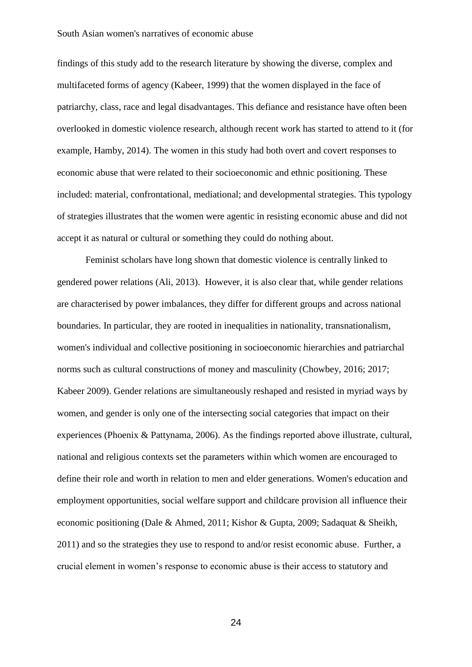#### South Asian women's narratives of economic abuse

findings of this study add to the research literature by showing the diverse, complex and multifaceted forms of agency (Kabeer, 1999) that the women displayed in the face of patriarchy, class, race and legal disadvantages. This defiance and resistance have often been overlooked in domestic violence research, although recent work has started to attend to it (for example, Hamby, 2014). The women in this study had both overt and covert responses to economic abuse that were related to their socioeconomic and ethnic positioning. These included: material, confrontational, mediational; and developmental strategies. This typology of strategies illustrates that the women were agentic in resisting economic abuse and did not accept it as natural or cultural or something they could do nothing about.

Feminist scholars have long shown that domestic violence is centrally linked to gendered power relations (Ali, 2013). However, it is also clear that, while gender relations are characterised by power imbalances, they differ for different groups and across national boundaries. In particular, they are rooted in inequalities in nationality, transnationalism, women's individual and collective positioning in socioeconomic hierarchies and patriarchal norms such as cultural constructions of money and masculinity (Chowbey, 2016; 2017; Kabeer 2009). Gender relations are simultaneously reshaped and resisted in myriad ways by women, and gender is only one of the intersecting social categories that impact on their experiences (Phoenix & Pattynama, 2006). As the findings reported above illustrate, cultural, national and religious contexts set the parameters within which women are encouraged to define their role and worth in relation to men and elder generations. Women's education and employment opportunities, social welfare support and childcare provision all influence their economic positioning (Dale & Ahmed, 2011; Kishor & Gupta, 2009; Sadaquat & Sheikh, 2011) and so the strategies they use to respond to and/or resist economic abuse. Further, a crucial element in women's response to economic abuse is their access to statutory and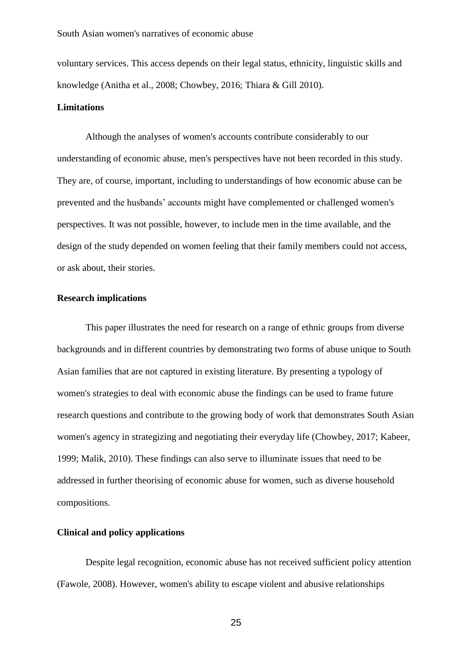voluntary services. This access depends on their legal status, ethnicity, linguistic skills and knowledge (Anitha et al., 2008; Chowbey, 2016; Thiara & Gill 2010).

#### **Limitations**

Although the analyses of women's accounts contribute considerably to our understanding of economic abuse, men's perspectives have not been recorded in this study. They are, of course, important, including to understandings of how economic abuse can be prevented and the husbands' accounts might have complemented or challenged women's perspectives. It was not possible, however, to include men in the time available, and the design of the study depended on women feeling that their family members could not access, or ask about, their stories.

## **Research implications**

This paper illustrates the need for research on a range of ethnic groups from diverse backgrounds and in different countries by demonstrating two forms of abuse unique to South Asian families that are not captured in existing literature. By presenting a typology of women's strategies to deal with economic abuse the findings can be used to frame future research questions and contribute to the growing body of work that demonstrates South Asian women's agency in strategizing and negotiating their everyday life (Chowbey, 2017; Kabeer, 1999; Malik, 2010). These findings can also serve to illuminate issues that need to be addressed in further theorising of economic abuse for women, such as diverse household compositions.

## **Clinical and policy applications**

Despite legal recognition, economic abuse has not received sufficient policy attention (Fawole, 2008). However, women's ability to escape violent and abusive relationships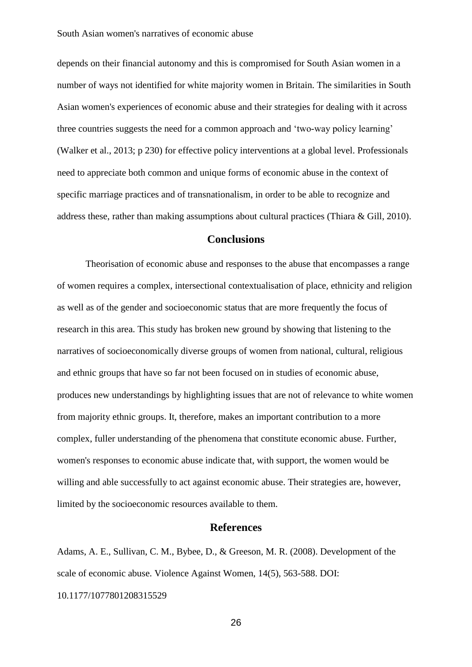depends on their financial autonomy and this is compromised for South Asian women in a number of ways not identified for white majority women in Britain. The similarities in South Asian women's experiences of economic abuse and their strategies for dealing with it across three countries suggests the need for a common approach and 'two-way policy learning' (Walker et al., 2013; p 230) for effective policy interventions at a global level. Professionals need to appreciate both common and unique forms of economic abuse in the context of specific marriage practices and of transnationalism, in order to be able to recognize and address these, rather than making assumptions about cultural practices (Thiara & Gill, 2010).

# **Conclusions**

Theorisation of economic abuse and responses to the abuse that encompasses a range of women requires a complex, intersectional contextualisation of place, ethnicity and religion as well as of the gender and socioeconomic status that are more frequently the focus of research in this area. This study has broken new ground by showing that listening to the narratives of socioeconomically diverse groups of women from national, cultural, religious and ethnic groups that have so far not been focused on in studies of economic abuse, produces new understandings by highlighting issues that are not of relevance to white women from majority ethnic groups. It, therefore, makes an important contribution to a more complex, fuller understanding of the phenomena that constitute economic abuse. Further, women's responses to economic abuse indicate that, with support, the women would be willing and able successfully to act against economic abuse. Their strategies are, however, limited by the socioeconomic resources available to them.

## **References**

Adams, A. E., Sullivan, C. M., Bybee, D., & Greeson, M. R. (2008). Development of the scale of economic abuse. Violence Against Women, 14(5), 563-588. DOI:

10.1177/1077801208315529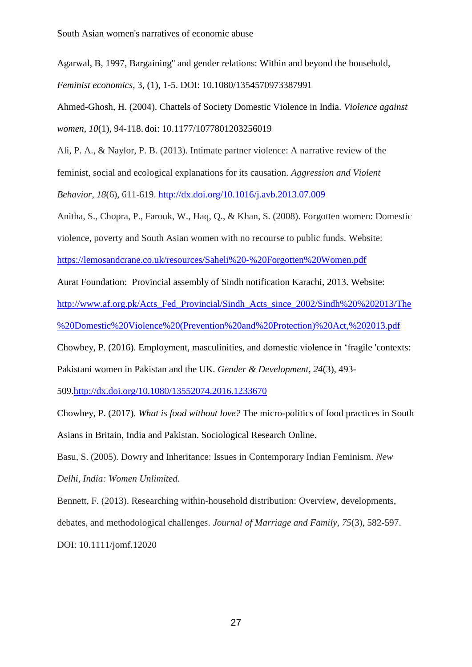South Asian women's narratives of economic abuse

Agarwal, B, 1997, Bargaining'' and gender relations: Within and beyond the household,

*Feminist economics,* 3, (1), 1-5. DOI: 10.1080/1354570973387991

Ahmed-Ghosh, H. (2004). Chattels of Society Domestic Violence in India. *Violence against women*, *10*(1), 94-118. doi: 10.1177/1077801203256019

Ali, P. A., & Naylor, P. B. (2013). Intimate partner violence: A narrative review of the feminist, social and ecological explanations for its causation. *Aggression and Violent Behavior*, *18*(6), 611-619. <http://dx.doi.org/10.1016/j.avb.2013.07.009>

Anitha, S., Chopra, P., Farouk, W., Haq, Q., & Khan, S. (2008). Forgotten women: Domestic

violence, poverty and South Asian women with no recourse to public funds. Website:

<https://lemosandcrane.co.uk/resources/Saheli%20-%20Forgotten%20Women.pdf>

Aurat Foundation: Provincial assembly of Sindh notification Karachi, 2013. Website:

[http://www.af.org.pk/Acts\\_Fed\\_Provincial/Sindh\\_Acts\\_since\\_2002/Sindh%20%202013/The](http://www.af.org.pk/Acts_Fed_Provincial/Sindh_Acts_since_2002/Sindh%20%202013/The%20Domestic%20Violence%20(Prevention%20and%20Protection)%20Act,%202013.pdf)

[%20Domestic%20Violence%20\(Prevention%20and%20Protection\)%20Act,%202013.pdf](http://www.af.org.pk/Acts_Fed_Provincial/Sindh_Acts_since_2002/Sindh%20%202013/The%20Domestic%20Violence%20(Prevention%20and%20Protection)%20Act,%202013.pdf)

Chowbey, P. (2016). Employment, masculinities, and domestic violence in 'fragile 'contexts:

Pakistani women in Pakistan and the UK. *Gender & Development*, *24*(3), 493-

509[.http://dx.doi.org/10.1080/13552074.2016.1233670](http://dx.doi.org/10.1080/13552074.2016.1233670)

Chowbey, P. (2017). *What is food without love?* The micro-politics of food practices in South Asians in Britain, India and Pakistan. Sociological Research Online.

Basu, S. (2005). Dowry and Inheritance: Issues in Contemporary Indian Feminism. *New Delhi, India: Women Unlimited*.

Bennett, F. (2013). Researching within‐household distribution: Overview, developments, debates, and methodological challenges. *Journal of Marriage and Family*, *75*(3), 582-597. DOI: 10.1111/jomf.12020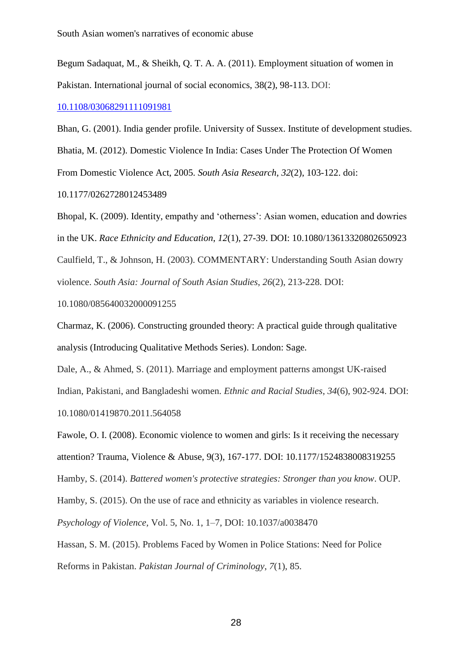Begum Sadaquat, M., & Sheikh, Q. T. A. A. (2011). Employment situation of women in Pakistan. International journal of social economics, 38(2), 98-113. DOI:

[10.1108/03068291111091981](http://dx.doi.org.lcproxy.shu.ac.uk/10.1108/03068291111091981)

Bhan, G. (2001). India gender profile. University of Sussex. Institute of development studies. Bhatia, M. (2012). Domestic Violence In India: Cases Under The Protection Of Women From Domestic Violence Act, 2005. *South Asia Research*, *32*(2), 103-122. doi: 10.1177/0262728012453489

Bhopal, K. (2009). Identity, empathy and 'otherness': Asian women, education and dowries in the UK. *Race Ethnicity and Education*, *12*(1), 27-39. DOI: 10.1080/13613320802650923 Caulfield, T., & Johnson, H. (2003). COMMENTARY: Understanding South Asian dowry violence. *South Asia: Journal of South Asian Studies*, *26*(2), 213-228. DOI:

10.1080/085640032000091255

Charmaz, K. (2006). Constructing grounded theory: A practical guide through qualitative analysis (Introducing Qualitative Methods Series). London: Sage.

Dale, A., & Ahmed, S. (2011). Marriage and employment patterns amongst UK-raised Indian, Pakistani, and Bangladeshi women. *Ethnic and Racial Studies*, *34*(6), 902-924. DOI: 10.1080/01419870.2011.564058

Fawole, O. I. (2008). Economic violence to women and girls: Is it receiving the necessary attention? Trauma, Violence & Abuse, 9(3), 167-177. DOI: 10.1177/1524838008319255

Hamby, S. (2014). *Battered women's protective strategies: Stronger than you know*. OUP.

Hamby, S. (2015). On the use of race and ethnicity as variables in violence research.

*Psychology of Violence,* Vol. 5, No. 1, 1–7, DOI: 10.1037/a0038470

Hassan, S. M. (2015). Problems Faced by Women in Police Stations: Need for Police

Reforms in Pakistan. *Pakistan Journal of Criminology*, *7*(1), 85.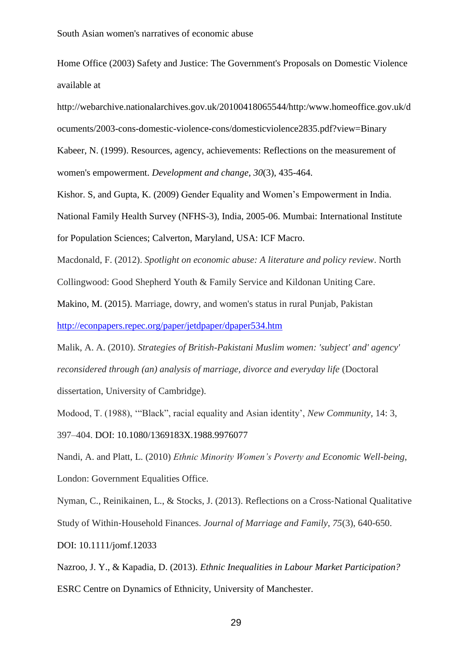Home Office (2003) Safety and Justice: The Government's Proposals on Domestic Violence available at

http://webarchive.nationalarchives.gov.uk/20100418065544/http:/www.homeoffice.gov.uk/d ocuments/2003-cons-domestic-violence-cons/domesticviolence2835.pdf?view=Binary Kabeer, N. (1999). Resources, agency, achievements: Reflections on the measurement of

women's empowerment. *Development and change*, *30*(3), 435-464.

Kishor. S, and Gupta, K. (2009) Gender Equality and Women's Empowerment in India. National Family Health Survey (NFHS-3), India, 2005-06. Mumbai: International Institute for Population Sciences; Calverton, Maryland, USA: ICF Macro.

Macdonald, F. (2012). *Spotlight on economic abuse: A literature and policy review*. North

Collingwood: Good Shepherd Youth & Family Service and Kildonan Uniting Care.

Makino, M. (2015). Marriage, dowry, and women's status in rural Punjab, Pakistan

<http://econpapers.repec.org/paper/jetdpaper/dpaper534.htm>

Malik, A. A. (2010). *Strategies of British-Pakistani Muslim women: 'subject' and' agency' reconsidered through (an) analysis of marriage, divorce and everyday life* (Doctoral dissertation, University of Cambridge).

Modood, T. (1988), '"Black", racial equality and Asian identity', *New Community*, 14: 3, 397–404. DOI: 10.1080/1369183X.1988.9976077

Nandi, A. and Platt, L. (2010) *Ethnic Minority Women's Poverty and Economic Well-being*, London: Government Equalities Office.

Nyman, C., Reinikainen, L., & Stocks, J. (2013). Reflections on a Cross‐National Qualitative Study of Within‐Household Finances. *Journal of Marriage and Family*, *75*(3), 640-650. DOI: 10.1111/jomf.12033

Nazroo, J. Y., & Kapadia, D. (2013). *Ethnic Inequalities in Labour Market Participation?* ESRC Centre on Dynamics of Ethnicity, University of Manchester.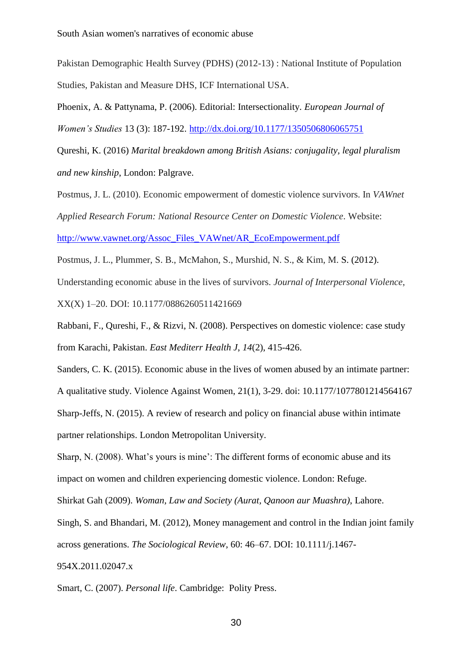Pakistan Demographic Health Survey (PDHS) (2012-13) : National Institute of Population Studies, Pakistan and Measure DHS, ICF International USA.

Phoenix, A. & Pattynama, P. (2006). Editorial: Intersectionality. *European Journal of Women's Studies* 13 (3): 187-192. <http://dx.doi.org/10.1177/1350506806065751>

Qureshi, K. (2016) *Marital breakdown among British Asians: conjugality, legal pluralism and new kinship*, London: Palgrave.

Postmus, J. L. (2010). Economic empowerment of domestic violence survivors. In *VAWnet Applied Research Forum: National Resource Center on Domestic Violence*. Website: [http://www.vawnet.org/Assoc\\_Files\\_VAWnet/AR\\_EcoEmpowerment.pdf](http://www.vawnet.org/Assoc_Files_VAWnet/AR_EcoEmpowerment.pdf)

Postmus, J. L., Plummer, S. B., McMahon, S., Murshid, N. S., & Kim, M. S. (2012). Understanding economic abuse in the lives of survivors. *Journal of Interpersonal Violence*, XX(X) 1–20. DOI: 10.1177/0886260511421669

Rabbani, F., Qureshi, F., & Rizvi, N. (2008). Perspectives on domestic violence: case study from Karachi, Pakistan. *East Mediterr Health J*, *14*(2), 415-426.

Sanders, C. K. (2015). Economic abuse in the lives of women abused by an intimate partner:

A qualitative study. Violence Against Women, 21(1), 3-29. doi: 10.1177/1077801214564167

Sharp-Jeffs, N. (2015). A review of research and policy on financial abuse within intimate partner relationships. London Metropolitan University.

Sharp, N. (2008). What's yours is mine': The different forms of economic abuse and its

impact on women and children experiencing domestic violence. London: Refuge.

Shirkat Gah (2009). *Woman, Law and Society (Aurat, Qanoon aur Muashra)*, Lahore.

Singh, S. and Bhandari, M. (2012), Money management and control in the Indian joint family across generations. *The Sociological Review*, 60: 46–67. DOI: 10.1111/j.1467-

954X.2011.02047.x

Smart, C. (2007). *Personal life*. Cambridge: Polity Press.